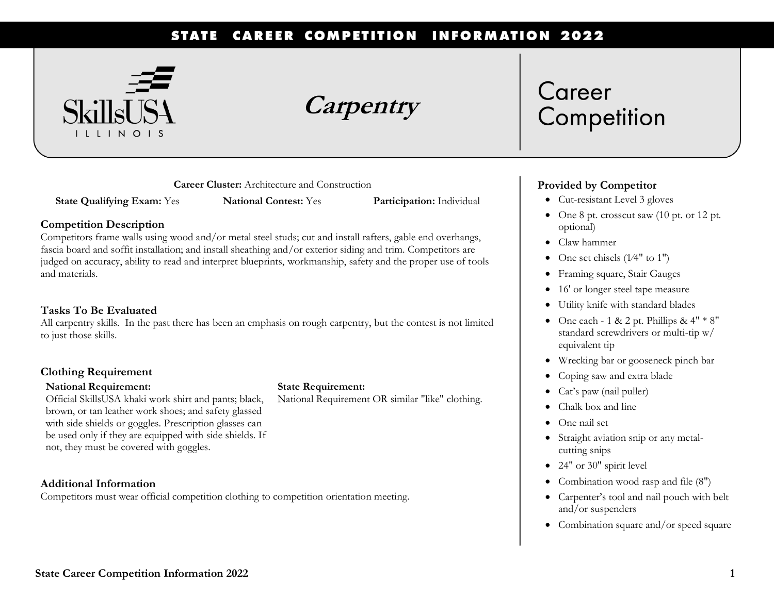#### STATE CAREER COMPETITION **INFORMATION 2022**



**Carpentry**

**Career Cluster:** Architecture and Construction

**State Qualifying Exam:** Yes **National Contest:** Yes **Participation:** Individual

### **Competition Description**

Competitors frame walls using wood and/or metal steel studs; cut and install rafters, gable end overhangs, fascia board and soffit installation; and install sheathing and/or exterior siding and trim. Competitors are judged on accuracy, ability to read and interpret blueprints, workmanship, safety and the proper use of tools and materials.

### **Tasks To Be Evaluated**

All carpentry skills. In the past there has been an emphasis on rough carpentry, but the contest is not limited to just those skills.

### **Clothing Requirement**

#### **National Requirement:**

Official SkillsUSA khaki work shirt and pants; black, brown, or tan leather work shoes; and safety glassed with side shields or goggles. Prescription glasses can be used only if they are equipped with side shields. If not, they must be covered with goggles.

### **Additional Information**

Competitors must wear official competition clothing to competition orientation meeting.

# Career Competition

### **Provided by Competitor**

- Cut-resistant Level 3 gloves
- One 8 pt. crosscut saw (10 pt. or 12 pt. optional)
- Claw hammer
- One set chisels (1⁄4" to 1")
- Framing square, Stair Gauges
- 16' or longer steel tape measure
- Utility knife with standard blades
- One each 1 & 2 pt. Phillips &  $4" * 8"$ standard screwdrivers or multi-tip w/ equivalent tip
- Wrecking bar or gooseneck pinch bar
- Coping saw and extra blade
- Cat's paw (nail puller)
- Chalk box and line
- One nail set
- Straight aviation snip or any metalcutting snips
- 24" or 30" spirit level
- Combination wood rasp and file (8")
- Carpenter's tool and nail pouch with belt and/or suspenders
- Combination square and/or speed square

### **State Requirement:**

National Requirement OR similar "like" clothing.